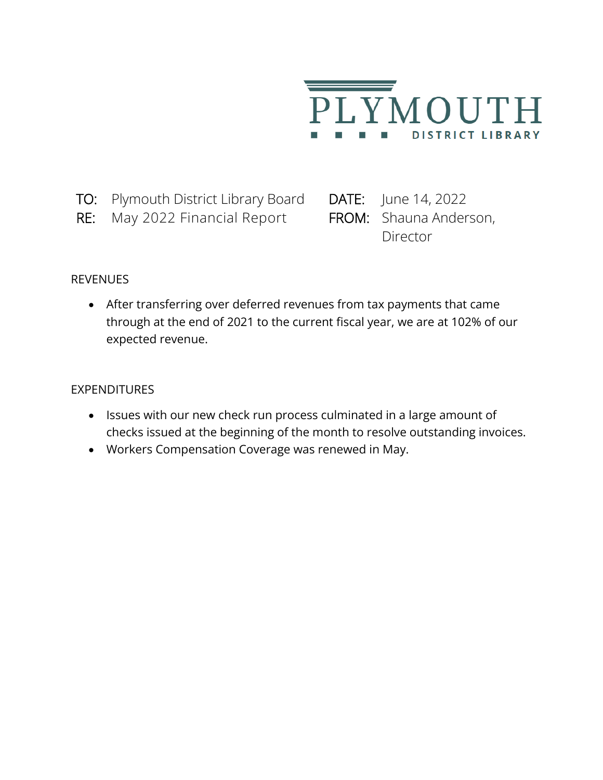

- TO: Plymouth District Library Board DATE: June 14, 2022
- RE: May 2022 Financial Report FROM: Shauna Anderson,

Director

## REVENUES

• After transferring over deferred revenues from tax payments that came through at the end of 2021 to the current fiscal year, we are at 102% of our expected revenue.

## **EXPENDITURES**

- Issues with our new check run process culminated in a large amount of checks issued at the beginning of the month to resolve outstanding invoices.
- Workers Compensation Coverage was renewed in May.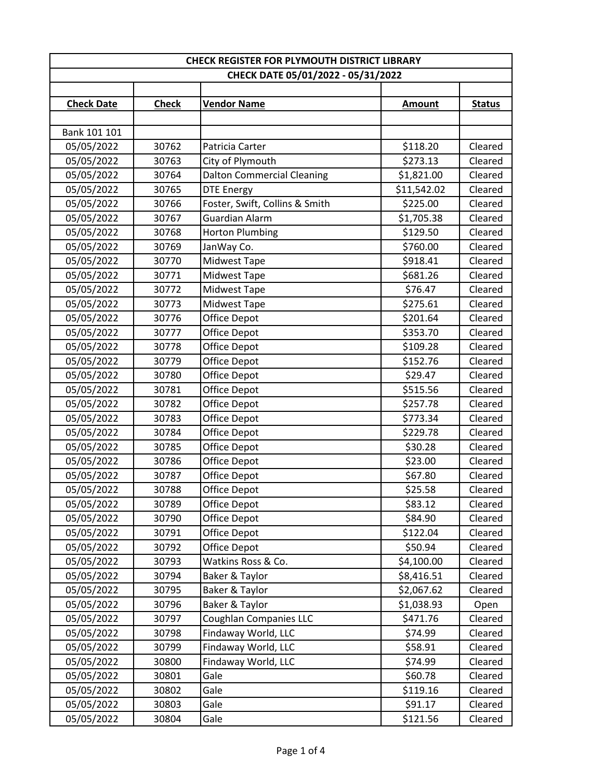| CHECK REGISTER FOR PLYMOUTH DISTRICT LIBRARY |              |                                    |               |               |  |
|----------------------------------------------|--------------|------------------------------------|---------------|---------------|--|
|                                              |              | CHECK DATE 05/01/2022 - 05/31/2022 |               |               |  |
|                                              |              |                                    |               |               |  |
| <b>Check Date</b>                            | <b>Check</b> | <b>Vendor Name</b>                 | <b>Amount</b> | <b>Status</b> |  |
|                                              |              |                                    |               |               |  |
| Bank 101 101                                 |              |                                    |               |               |  |
| 05/05/2022                                   | 30762        | Patricia Carter                    | \$118.20      | Cleared       |  |
| 05/05/2022                                   | 30763        | City of Plymouth                   | \$273.13      | Cleared       |  |
| 05/05/2022                                   | 30764        | <b>Dalton Commercial Cleaning</b>  | \$1,821.00    | Cleared       |  |
| 05/05/2022                                   | 30765        | <b>DTE Energy</b>                  | \$11,542.02   | Cleared       |  |
| 05/05/2022                                   | 30766        | Foster, Swift, Collins & Smith     | \$225.00      | Cleared       |  |
| 05/05/2022                                   | 30767        | Guardian Alarm                     | \$1,705.38    | Cleared       |  |
| 05/05/2022                                   | 30768        | <b>Horton Plumbing</b>             | \$129.50      | Cleared       |  |
| 05/05/2022                                   | 30769        | JanWay Co.                         | \$760.00      | Cleared       |  |
| 05/05/2022                                   | 30770        | <b>Midwest Tape</b>                | \$918.41      | Cleared       |  |
| 05/05/2022                                   | 30771        | Midwest Tape                       | \$681.26      | Cleared       |  |
| 05/05/2022                                   | 30772        | <b>Midwest Tape</b>                | \$76.47       | Cleared       |  |
| 05/05/2022                                   | 30773        | Midwest Tape                       | \$275.61      | Cleared       |  |
| 05/05/2022                                   | 30776        | Office Depot                       | \$201.64      | Cleared       |  |
| 05/05/2022                                   | 30777        | Office Depot                       | \$353.70      | Cleared       |  |
| 05/05/2022                                   | 30778        | Office Depot                       | \$109.28      | Cleared       |  |
| 05/05/2022                                   | 30779        | Office Depot                       | \$152.76      | Cleared       |  |
| 05/05/2022                                   | 30780        | Office Depot                       | \$29.47       | Cleared       |  |
| 05/05/2022                                   | 30781        | Office Depot                       | \$515.56      | Cleared       |  |
| 05/05/2022                                   | 30782        | Office Depot                       | \$257.78      | Cleared       |  |
| 05/05/2022                                   | 30783        | Office Depot                       | \$773.34      | Cleared       |  |
| 05/05/2022                                   | 30784        | Office Depot                       | \$229.78      | Cleared       |  |
| 05/05/2022                                   | 30785        | Office Depot                       | \$30.28       | Cleared       |  |
| 05/05/2022                                   | 30786        | Office Depot                       | \$23.00       | Cleared       |  |
| 05/05/2022                                   | 30787        | Office Depot                       | \$67.80       | Cleared       |  |
| 05/05/2022                                   | 30788        | <b>Office Depot</b>                | \$25.58       | Cleared       |  |
| 05/05/2022                                   | 30789        | Office Depot                       | \$83.12       | Cleared       |  |
| 05/05/2022                                   | 30790        | Office Depot                       | \$84.90       | Cleared       |  |
| 05/05/2022                                   | 30791        | Office Depot                       | \$122.04      | Cleared       |  |
| 05/05/2022                                   | 30792        | Office Depot                       | \$50.94       | Cleared       |  |
| 05/05/2022                                   | 30793        | Watkins Ross & Co.                 | \$4,100.00    | Cleared       |  |
| 05/05/2022                                   | 30794        | Baker & Taylor                     | \$8,416.51    | Cleared       |  |
| 05/05/2022                                   | 30795        | Baker & Taylor                     | \$2,067.62    | Cleared       |  |
| 05/05/2022                                   | 30796        | Baker & Taylor                     | \$1,038.93    | Open          |  |
| 05/05/2022                                   | 30797        | <b>Coughlan Companies LLC</b>      | \$471.76      | Cleared       |  |
| 05/05/2022                                   | 30798        | Findaway World, LLC                | \$74.99       | Cleared       |  |
| 05/05/2022                                   | 30799        | Findaway World, LLC                | \$58.91       | Cleared       |  |
| 05/05/2022                                   | 30800        | Findaway World, LLC                | \$74.99       | Cleared       |  |
| 05/05/2022                                   | 30801        | Gale                               | \$60.78       | Cleared       |  |
| 05/05/2022                                   | 30802        | Gale                               | \$119.16      | Cleared       |  |
| 05/05/2022                                   | 30803        | Gale                               | \$91.17       | Cleared       |  |
| 05/05/2022                                   | 30804        | Gale                               | \$121.56      | Cleared       |  |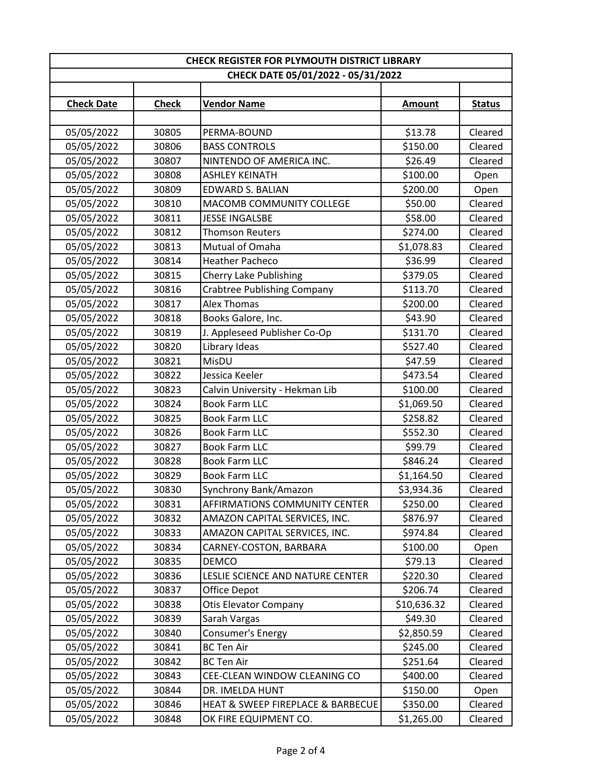| <b>CHECK REGISTER FOR PLYMOUTH DISTRICT LIBRARY</b> |                                    |                                    |               |               |  |  |  |
|-----------------------------------------------------|------------------------------------|------------------------------------|---------------|---------------|--|--|--|
|                                                     | CHECK DATE 05/01/2022 - 05/31/2022 |                                    |               |               |  |  |  |
| <b>Check Date</b>                                   | <b>Check</b>                       | <b>Vendor Name</b>                 | <b>Amount</b> | <b>Status</b> |  |  |  |
|                                                     |                                    |                                    |               |               |  |  |  |
| 05/05/2022                                          | 30805                              | PERMA-BOUND                        | \$13.78       | Cleared       |  |  |  |
| 05/05/2022                                          | 30806                              | <b>BASS CONTROLS</b>               | \$150.00      | Cleared       |  |  |  |
| 05/05/2022                                          | 30807                              | NINTENDO OF AMERICA INC.           | \$26.49       | Cleared       |  |  |  |
| 05/05/2022                                          | 30808                              | <b>ASHLEY KEINATH</b>              | \$100.00      | Open          |  |  |  |
| 05/05/2022                                          | 30809                              | <b>EDWARD S. BALIAN</b>            | \$200.00      | Open          |  |  |  |
| 05/05/2022                                          | 30810                              | MACOMB COMMUNITY COLLEGE           | \$50.00       | Cleared       |  |  |  |
| 05/05/2022                                          | 30811                              | <b>JESSE INGALSBE</b>              | \$58.00       | Cleared       |  |  |  |
| 05/05/2022                                          | 30812                              | <b>Thomson Reuters</b>             | \$274.00      | Cleared       |  |  |  |
| 05/05/2022                                          | 30813                              | Mutual of Omaha                    | \$1,078.83    | Cleared       |  |  |  |
| 05/05/2022                                          | 30814                              | <b>Heather Pacheco</b>             | \$36.99       | Cleared       |  |  |  |
| 05/05/2022                                          | 30815                              | Cherry Lake Publishing             | \$379.05      | Cleared       |  |  |  |
| 05/05/2022                                          | 30816                              | <b>Crabtree Publishing Company</b> | \$113.70      | Cleared       |  |  |  |
| 05/05/2022                                          | 30817                              | <b>Alex Thomas</b>                 | \$200.00      | Cleared       |  |  |  |
| 05/05/2022                                          | 30818                              | Books Galore, Inc.                 | \$43.90       | Cleared       |  |  |  |
| 05/05/2022                                          | 30819                              | J. Appleseed Publisher Co-Op       | \$131.70      | Cleared       |  |  |  |
| 05/05/2022                                          | 30820                              | Library Ideas                      | \$527.40      | Cleared       |  |  |  |
| 05/05/2022                                          | 30821                              | MisDU                              | \$47.59       | Cleared       |  |  |  |
| 05/05/2022                                          | 30822                              | Jessica Keeler                     | \$473.54      | Cleared       |  |  |  |
| 05/05/2022                                          | 30823                              | Calvin University - Hekman Lib     | \$100.00      | Cleared       |  |  |  |
| 05/05/2022                                          | 30824                              | <b>Book Farm LLC</b>               | \$1,069.50    | Cleared       |  |  |  |
| 05/05/2022                                          | 30825                              | <b>Book Farm LLC</b>               | \$258.82      | Cleared       |  |  |  |
| 05/05/2022                                          | 30826                              | <b>Book Farm LLC</b>               | \$552.30      | Cleared       |  |  |  |
| 05/05/2022                                          | 30827                              | <b>Book Farm LLC</b>               | \$99.79       | Cleared       |  |  |  |
| 05/05/2022                                          | 30828                              | <b>Book Farm LLC</b>               | \$846.24      | Cleared       |  |  |  |
| 05/05/2022                                          | 30829                              | <b>Book Farm LLC</b>               | \$1,164.50    | Cleared       |  |  |  |
| 05/05/2022                                          | 30830                              | Synchrony Bank/Amazon              | \$3,934.36    | Cleared       |  |  |  |
| 05/05/2022                                          | 30831                              | AFFIRMATIONS COMMUNITY CENTER      | \$250.00      | Cleared       |  |  |  |
| 05/05/2022                                          | 30832                              | AMAZON CAPITAL SERVICES, INC.      | \$876.97      | Cleared       |  |  |  |
| 05/05/2022                                          | 30833                              | AMAZON CAPITAL SERVICES, INC.      | \$974.84      | Cleared       |  |  |  |
| 05/05/2022                                          | 30834                              | CARNEY-COSTON, BARBARA             | \$100.00      | Open          |  |  |  |
| 05/05/2022                                          | 30835                              | DEMCO                              | \$79.13       | Cleared       |  |  |  |
| 05/05/2022                                          | 30836                              | LESLIE SCIENCE AND NATURE CENTER   | \$220.30      | Cleared       |  |  |  |
| 05/05/2022                                          | 30837                              | Office Depot                       | \$206.74      | Cleared       |  |  |  |
| 05/05/2022                                          | 30838                              | <b>Otis Elevator Company</b>       | \$10,636.32   | Cleared       |  |  |  |
| 05/05/2022                                          | 30839                              | Sarah Vargas                       | \$49.30       | Cleared       |  |  |  |
| 05/05/2022                                          | 30840                              | Consumer's Energy                  | \$2,850.59    | Cleared       |  |  |  |
| 05/05/2022                                          | 30841                              | <b>BC Ten Air</b>                  | \$245.00      | Cleared       |  |  |  |
| 05/05/2022                                          | 30842                              | <b>BC Ten Air</b>                  | \$251.64      | Cleared       |  |  |  |
| 05/05/2022                                          | 30843                              | CEE-CLEAN WINDOW CLEANING CO       | \$400.00      | Cleared       |  |  |  |
| 05/05/2022                                          | 30844                              | DR. IMELDA HUNT                    | \$150.00      | Open          |  |  |  |
| 05/05/2022                                          | 30846                              | HEAT & SWEEP FIREPLACE & BARBECUE  | \$350.00      | Cleared       |  |  |  |
| 05/05/2022                                          | 30848                              | OK FIRE EQUIPMENT CO.              | \$1,265.00    | Cleared       |  |  |  |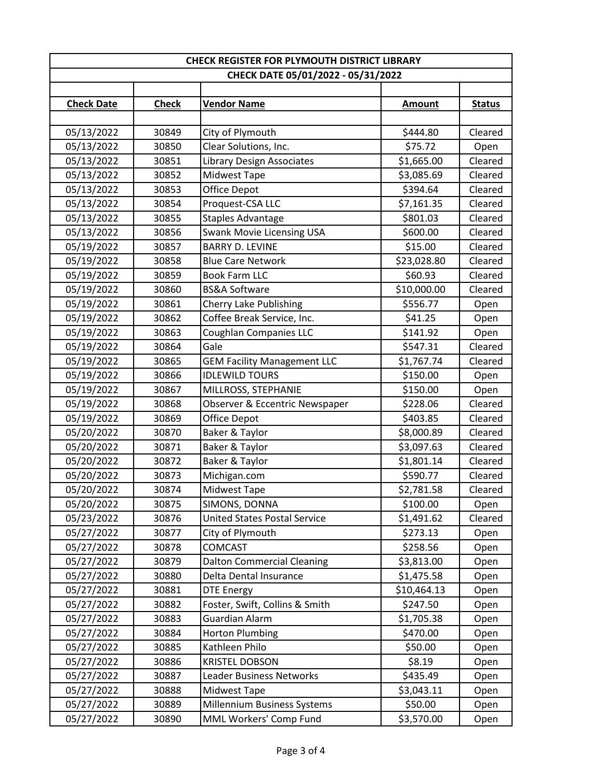| <b>CHECK REGISTER FOR PLYMOUTH DISTRICT LIBRARY</b> |                |                                                        |               |                    |  |  |
|-----------------------------------------------------|----------------|--------------------------------------------------------|---------------|--------------------|--|--|
|                                                     |                | CHECK DATE 05/01/2022 - 05/31/2022                     |               |                    |  |  |
| <b>Check Date</b>                                   | <b>Check</b>   | <b>Vendor Name</b>                                     | <b>Amount</b> | <b>Status</b>      |  |  |
|                                                     |                |                                                        |               |                    |  |  |
| 05/13/2022                                          | 30849          | City of Plymouth                                       | \$444.80      | Cleared            |  |  |
| 05/13/2022                                          | 30850          | Clear Solutions, Inc.                                  | \$75.72       | Open               |  |  |
| 05/13/2022                                          | 30851          | Library Design Associates                              | \$1,665.00    | Cleared            |  |  |
| 05/13/2022                                          | 30852          | <b>Midwest Tape</b>                                    | \$3,085.69    | Cleared            |  |  |
| 05/13/2022                                          | 30853          | Office Depot                                           | \$394.64      | Cleared            |  |  |
| 05/13/2022                                          | 30854          | Proquest-CSA LLC                                       | \$7,161.35    | Cleared            |  |  |
| 05/13/2022                                          | 30855          | <b>Staples Advantage</b>                               | \$801.03      | Cleared            |  |  |
| 05/13/2022                                          | 30856          | <b>Swank Movie Licensing USA</b>                       | \$600.00      | Cleared            |  |  |
| 05/19/2022                                          | 30857          | <b>BARRY D. LEVINE</b>                                 | \$15.00       | Cleared            |  |  |
| 05/19/2022                                          | 30858          | <b>Blue Care Network</b>                               | \$23,028.80   | Cleared            |  |  |
| 05/19/2022                                          | 30859          | <b>Book Farm LLC</b>                                   | \$60.93       | Cleared            |  |  |
| 05/19/2022                                          | 30860          | <b>BS&amp;A Software</b>                               | \$10,000.00   | Cleared            |  |  |
| 05/19/2022                                          | 30861          | <b>Cherry Lake Publishing</b>                          | \$556.77      | Open               |  |  |
| 05/19/2022                                          | 30862          | Coffee Break Service, Inc.                             | \$41.25       | Open               |  |  |
| 05/19/2022                                          | 30863          | Coughlan Companies LLC                                 | \$141.92      | Open               |  |  |
| 05/19/2022                                          | 30864          | Gale                                                   | \$547.31      | Cleared            |  |  |
| 05/19/2022                                          | 30865          | <b>GEM Facility Management LLC</b>                     | \$1,767.74    | Cleared            |  |  |
| 05/19/2022                                          | 30866          | <b>IDLEWILD TOURS</b>                                  | \$150.00      | Open               |  |  |
| 05/19/2022                                          | 30867          | MILLROSS, STEPHANIE                                    | \$150.00      | Open               |  |  |
| 05/19/2022                                          | 30868          | Observer & Eccentric Newspaper                         | \$228.06      | Cleared            |  |  |
| 05/19/2022                                          | 30869<br>30870 | Office Depot                                           | \$403.85      | Cleared<br>Cleared |  |  |
| 05/20/2022                                          | 30871          | Baker & Taylor                                         | \$8,000.89    |                    |  |  |
| 05/20/2022<br>05/20/2022                            | 30872          | Baker & Taylor                                         | \$3,097.63    | Cleared<br>Cleared |  |  |
| 05/20/2022                                          | 30873          | Baker & Taylor<br>\$1,801.14                           |               | Cleared            |  |  |
| 05/20/2022                                          | 30874          | \$590.77<br>Michigan.com<br>\$2,781.58<br>Midwest Tape |               | Cleared            |  |  |
| 05/20/2022                                          | 30875          | SIMONS, DONNA                                          | \$100.00      | Open               |  |  |
| 05/23/2022                                          | 30876          | <b>United States Postal Service</b>                    | \$1,491.62    | Cleared            |  |  |
| 05/27/2022                                          | 30877          | City of Plymouth                                       | \$273.13      | Open               |  |  |
| 05/27/2022                                          | 30878          | <b>COMCAST</b>                                         | \$258.56      | Open               |  |  |
| 05/27/2022                                          | 30879          | <b>Dalton Commercial Cleaning</b>                      | \$3,813.00    | Open               |  |  |
| 05/27/2022                                          | 30880          | Delta Dental Insurance                                 | \$1,475.58    | Open               |  |  |
| 05/27/2022                                          | 30881          | <b>DTE Energy</b>                                      | \$10,464.13   | Open               |  |  |
| 05/27/2022                                          | 30882          | Foster, Swift, Collins & Smith                         | \$247.50      | Open               |  |  |
| 05/27/2022                                          | 30883          | Guardian Alarm                                         | \$1,705.38    | Open               |  |  |
| 05/27/2022                                          | 30884          | <b>Horton Plumbing</b>                                 | \$470.00      | Open               |  |  |
| 05/27/2022                                          | 30885          | Kathleen Philo                                         | \$50.00       | Open               |  |  |
| 05/27/2022                                          | 30886          | <b>KRISTEL DOBSON</b>                                  | \$8.19        | Open               |  |  |
| 05/27/2022                                          | 30887          | Leader Business Networks                               | \$435.49      | Open               |  |  |
| 05/27/2022                                          | 30888          | Midwest Tape                                           | \$3,043.11    | Open               |  |  |
| 05/27/2022                                          | 30889          | Millennium Business Systems                            | \$50.00       | Open               |  |  |
| 05/27/2022                                          | 30890          | MML Workers' Comp Fund                                 | \$3,570.00    | Open               |  |  |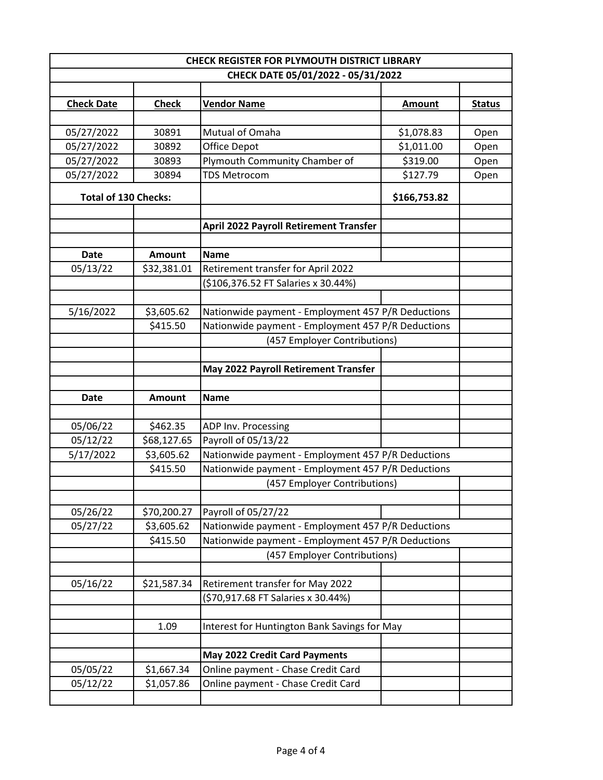|                             |               | <b>CHECK REGISTER FOR PLYMOUTH DISTRICT LIBRARY</b> |                          |               |  |
|-----------------------------|---------------|-----------------------------------------------------|--------------------------|---------------|--|
|                             |               | CHECK DATE 05/01/2022 - 05/31/2022                  |                          |               |  |
|                             |               |                                                     |                          |               |  |
| <b>Check Date</b>           | <b>Check</b>  | <b>Vendor Name</b>                                  | <b>Amount</b>            | <b>Status</b> |  |
|                             | 30891         | Mutual of Omaha                                     |                          |               |  |
| 05/27/2022<br>05/27/2022    | 30892         | Office Depot                                        | \$1,078.83<br>\$1,011.00 | Open          |  |
| 05/27/2022                  | 30893         | Plymouth Community Chamber of                       | \$319.00                 | Open<br>Open  |  |
| 05/27/2022                  | 30894         | <b>TDS Metrocom</b>                                 | \$127.79                 | Open          |  |
|                             |               |                                                     |                          |               |  |
| <b>Total of 130 Checks:</b> |               |                                                     | \$166,753.82             |               |  |
|                             |               | <b>April 2022 Payroll Retirement Transfer</b>       |                          |               |  |
|                             |               |                                                     |                          |               |  |
| <b>Date</b>                 | Amount        | <b>Name</b>                                         |                          |               |  |
| 05/13/22                    | \$32,381.01   | Retirement transfer for April 2022                  |                          |               |  |
|                             |               | (\$106,376.52 FT Salaries x 30.44%)                 |                          |               |  |
|                             |               |                                                     |                          |               |  |
| 5/16/2022                   | \$3,605.62    | Nationwide payment - Employment 457 P/R Deductions  |                          |               |  |
|                             | \$415.50      | Nationwide payment - Employment 457 P/R Deductions  |                          |               |  |
|                             |               | (457 Employer Contributions)                        |                          |               |  |
|                             |               | May 2022 Payroll Retirement Transfer                |                          |               |  |
| <b>Date</b>                 | <b>Amount</b> | <b>Name</b>                                         |                          |               |  |
|                             |               |                                                     |                          |               |  |
| 05/06/22                    | \$462.35      | ADP Inv. Processing                                 |                          |               |  |
| 05/12/22                    | \$68,127.65   | Payroll of 05/13/22                                 |                          |               |  |
| 5/17/2022                   | \$3,605.62    | Nationwide payment - Employment 457 P/R Deductions  |                          |               |  |
|                             | \$415.50      | Nationwide payment - Employment 457 P/R Deductions  |                          |               |  |
|                             |               | (457 Employer Contributions)                        |                          |               |  |
|                             |               |                                                     |                          |               |  |
| 05/26/22                    | \$70,200.27   | Payroll of 05/27/22                                 |                          |               |  |
| 05/27/22                    | \$3,605.62    | Nationwide payment - Employment 457 P/R Deductions  |                          |               |  |
|                             | \$415.50      | Nationwide payment - Employment 457 P/R Deductions  |                          |               |  |
|                             |               | (457 Employer Contributions)                        |                          |               |  |
| 05/16/22                    | \$21,587.34   | Retirement transfer for May 2022                    |                          |               |  |
|                             |               | (\$70,917.68 FT Salaries x 30.44%)                  |                          |               |  |
|                             |               |                                                     |                          |               |  |
|                             | 1.09          | Interest for Huntington Bank Savings for May        |                          |               |  |
|                             |               | May 2022 Credit Card Payments                       |                          |               |  |
| 05/05/22                    | \$1,667.34    | Online payment - Chase Credit Card                  |                          |               |  |
| 05/12/22                    | \$1,057.86    | Online payment - Chase Credit Card                  |                          |               |  |
|                             |               |                                                     |                          |               |  |
|                             |               |                                                     |                          |               |  |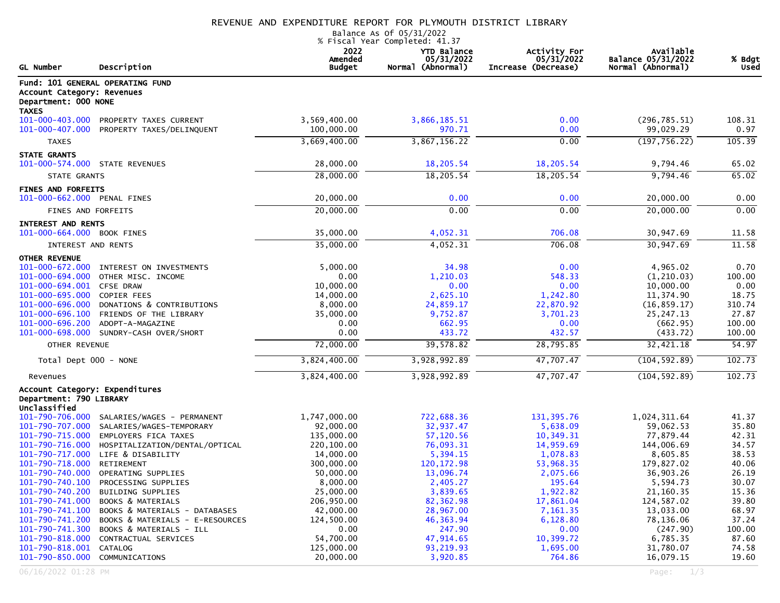## REVENUE AND EXPENDITURE REPORT FOR PLYMOUTH DISTRICT LIBRARY

Balance As Of 05/31/2022 % Fiscal Year Completed: 41.37

| <b>GL Number</b>                                                          | Description                                                   | 2022<br>Amended<br><b>Budget</b> | <b>YTD Balance</b><br>05/31/2022<br>Normal (Abnormal) | Activity For<br>05/31/2022<br>Increase (Decrease) | Available<br>Balance 05/31/2022<br>Normal (Abnormal) | % Bdgt<br>Used  |
|---------------------------------------------------------------------------|---------------------------------------------------------------|----------------------------------|-------------------------------------------------------|---------------------------------------------------|------------------------------------------------------|-----------------|
| Account Category: Revenues<br>Department: 000 NONE<br><b>TAXES</b>        | Fund: 101 GENERAL OPERATING FUND                              |                                  |                                                       |                                                   |                                                      |                 |
| $101 - 000 - 403.000$<br>101-000-407.000                                  | PROPERTY TAXES CURRENT<br>PROPERTY TAXES/DELINQUENT           | 3,569,400.00<br>100,000.00       | 3,866,185.51<br>970.71                                | 0.00<br>0.00                                      | (296, 785.51)<br>99,029.29                           | 108.31<br>0.97  |
| <b>TAXES</b>                                                              |                                                               | 3,669,400.00                     | 3,867,156.22                                          | 0.00                                              | (197, 756.22)                                        | 105.39          |
| <b>STATE GRANTS</b><br>101-000-574.000 STATE REVENUES                     |                                                               | 28,000.00                        | 18,205.54                                             | 18,205.54                                         | 9,794.46                                             | 65.02           |
| STATE GRANTS                                                              |                                                               | 28,000.00                        | 18,205.54                                             | 18,205.54                                         | 9,794.46                                             | 65.02           |
| <b>FINES AND FORFEITS</b><br>101-000-662.000 PENAL FINES                  |                                                               | 20,000.00                        | 0.00                                                  | 0.00                                              | 20,000.00                                            | 0.00            |
| FINES AND FORFEITS                                                        |                                                               | 20,000.00                        | 0.00                                                  | 0.00                                              | 20,000.00                                            | 0.00            |
| INTEREST AND RENTS<br>101-000-664.000 BOOK FINES                          |                                                               | 35,000.00                        | 4,052.31                                              | 706.08                                            | 30,947.69                                            | 11.58           |
| INTEREST AND RENTS                                                        |                                                               | 35,000.00                        | 4,052.31                                              | 706.08                                            | 30,947.69                                            | 11.58           |
| <b>OTHER REVENUE</b>                                                      |                                                               |                                  |                                                       |                                                   |                                                      |                 |
| 101-000-694.000                                                           | 101-000-672.000 INTEREST ON INVESTMENTS<br>OTHER MISC. INCOME | 5,000.00<br>0.00                 | 34.98<br>1,210.03                                     | 0.00<br>548.33                                    | 4,965.02<br>(1, 210.03)                              | 0.70<br>100.00  |
| 101-000-694.001 CFSE DRAW                                                 |                                                               | 10,000.00                        | 0.00                                                  | 0.00                                              | 10,000.00                                            | 0.00            |
| 101-000-695.000<br>101-000-696.000                                        | <b>COPIER FEES</b><br>DONATIONS & CONTRIBUTIONS               | 14,000.00<br>8,000.00            | 2,625.10<br>24,859.17                                 | 1,242.80<br>22,870.92                             | 11,374.90<br>(16, 859.17)                            | 18.75<br>310.74 |
| $101 - 000 - 696.100$                                                     | FRIENDS OF THE LIBRARY                                        | 35,000.00                        | 9,752.87                                              | 3,701.23                                          | 25, 247. 13                                          | 27.87           |
| 101-000-696.200                                                           | ADOPT-A-MAGAZINE                                              | 0.00                             | 662.95                                                | 0.00                                              | (662.95)                                             | 100.00          |
| 101-000-698.000                                                           | SUNDRY-CASH OVER/SHORT                                        | 0.00                             | 433.72                                                | 432.57                                            | (433.72)                                             | 100.00          |
| OTHER REVENUE                                                             |                                                               | 72,000.00                        | 39,578.82                                             | 28,795.85                                         | 32,421.18                                            | 54.97           |
| Total Dept 000 - NONE                                                     |                                                               | 3,824,400.00                     | 3,928,992.89                                          | 47,707.47                                         | (104, 592.89)                                        | 102.73          |
| Revenues                                                                  |                                                               | 3,824,400.00                     | 3,928,992.89                                          | 47,707.47                                         | (104, 592.89)                                        | 102.73          |
| Account Category: Expenditures<br>Department: 790 LIBRARY<br>Unclassified |                                                               |                                  |                                                       |                                                   |                                                      |                 |
| 101-790-706.000<br>101-790-707.000                                        | SALARIES/WAGES - PERMANENT<br>SALARIES/WAGES-TEMPORARY        | 1,747,000.00<br>92,000.00        | 722,688.36<br>32,937.47                               | 131, 395.76<br>5,638.09                           | 1,024,311.64<br>59,062.53                            | 41.37<br>35.80  |
|                                                                           | 101-790-715.000 EMPLOYERS FICA TAXES                          | 135,000.00                       | 57,120.56                                             | 10,349.31                                         | 77,879.44                                            | 42.31           |
| 101-790-716.000                                                           | HOSPITALIZATION/DENTAL/OPTICAL                                | 220,100.00                       | 76,093.31                                             | 14,959.69                                         | 144,006.69                                           | 34.57           |
|                                                                           | 101-790-717.000 LIFE & DISABILITY                             | 14,000.00                        | 5,394.15                                              | 1,078.83                                          | 8,605.85                                             | 38.53           |
| 101-790-718.000                                                           | RETIREMENT                                                    | 300,000.00                       | 120, 172.98                                           | 53,968.35                                         | 179,827.02                                           | 40.06           |
| 101-790-740.000                                                           | OPERATING SUPPLIES                                            | 50,000.00                        | 13,096.74                                             | 2,075.66                                          | 36,903.26                                            | 26.19           |
| 101-790-740.100                                                           | PROCESSING SUPPLIES                                           | 8,000.00                         | 2,405.27                                              | 195.64                                            | 5.594.73                                             | 30.07           |
| 101-790-740.200<br>101-790-741.000                                        | BUILDING SUPPLIES<br>BOOKS & MATERIALS                        | 25,000.00<br>206,950.00          | 3,839.65<br>82, 362.98                                | 1,922.82<br>17,861.04                             | 21,160.35<br>124,587.02                              | 15.36<br>39.80  |
| 101-790-741.100                                                           | BOOKS & MATERIALS - DATABASES                                 | 42,000.00                        | 28,967.00                                             | 7,161.35                                          | 13,033.00                                            | 68.97           |
| 101-790-741.200                                                           | BOOKS & MATERIALS - E-RESOURCES                               | 124,500.00                       | 46, 363. 94                                           | 6,128.80                                          | 78,136.06                                            | 37.24           |
| 101-790-741.300                                                           | BOOKS & MATERIALS - ILL                                       | 0.00                             | 247.90                                                | 0.00                                              | (247.90)                                             | 100.00          |
| 101-790-818.000                                                           | CONTRACTUAL SERVICES                                          | 54,700.00                        | 47,914.65                                             | 10,399.72                                         | 6,785.35                                             | 87.60           |
| 101-790-818.001                                                           | CATALOG                                                       | 125,000.00                       | 93,219.93                                             | 1,695.00                                          | 31,780.07                                            | 74.58           |
| 101-790-850.000                                                           | COMMUNICATIONS                                                | 20,000.00                        | 3,920.85                                              | 764.86                                            | 16,079.15                                            | 19.60           |